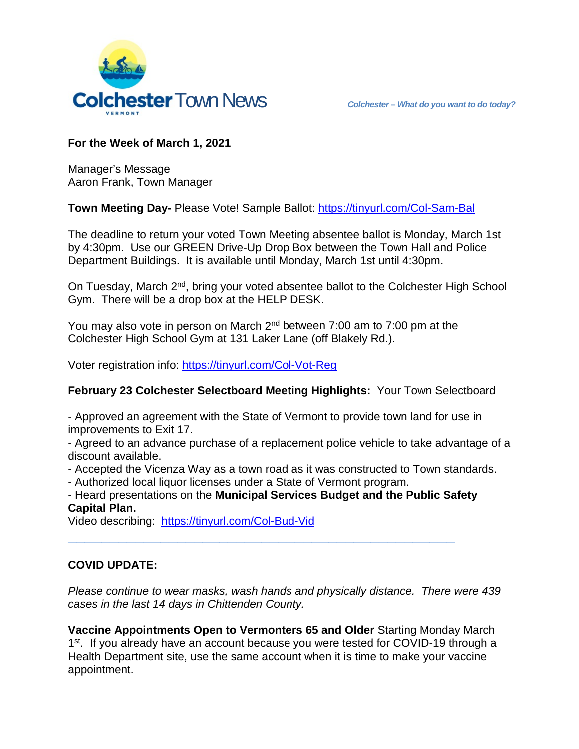

# **For the Week of March 1, 2021**

Manager's Message Aaron Frank, Town Manager

**Town Meeting Day-** Please Vote! Sample Ballot:<https://tinyurl.com/Col-Sam-Bal>

The deadline to return your voted Town Meeting absentee ballot is Monday, March 1st by 4:30pm. Use our GREEN Drive-Up Drop Box between the Town Hall and Police Department Buildings. It is available until Monday, March 1st until 4:30pm.

On Tuesday, March 2<sup>nd</sup>, bring your voted absentee ballot to the Colchester High School Gym. There will be a drop box at the HELP DESK.

You may also vote in person on March  $2<sup>nd</sup>$  between 7:00 am to 7:00 pm at the Colchester High School Gym at 131 Laker Lane (off Blakely Rd.).

Voter registration info:<https://tinyurl.com/Col-Vot-Reg>

#### **February 23 Colchester Selectboard Meeting Highlights:** Your Town Selectboard

- Approved an agreement with the State of Vermont to provide town land for use in improvements to Exit 17.

- Agreed to an advance purchase of a replacement police vehicle to take advantage of a discount available.

- Accepted the Vicenza Way as a town road as it was constructed to Town standards.

- Authorized local liquor licenses under a State of Vermont program.

- Heard presentations on the **Municipal Services Budget and the Public Safety Capital Plan.**

**\_\_\_\_\_\_\_\_\_\_\_\_\_\_\_\_\_\_\_\_\_\_\_\_\_\_\_\_\_\_\_\_\_\_\_\_\_\_\_\_\_\_\_\_\_\_**

Video describing: <https://tinyurl.com/Col-Bud-Vid>

## **COVID UPDATE:**

*Please continue to wear masks, wash hands and physically distance. There were 439 cases in the last 14 days in Chittenden County.* 

**Vaccine Appointments Open to Vermonters 65 and Older** Starting Monday March 1<sup>st</sup>. If you already have an account because you were tested for COVID-19 through a Health Department site, use the same account when it is time to make your vaccine appointment.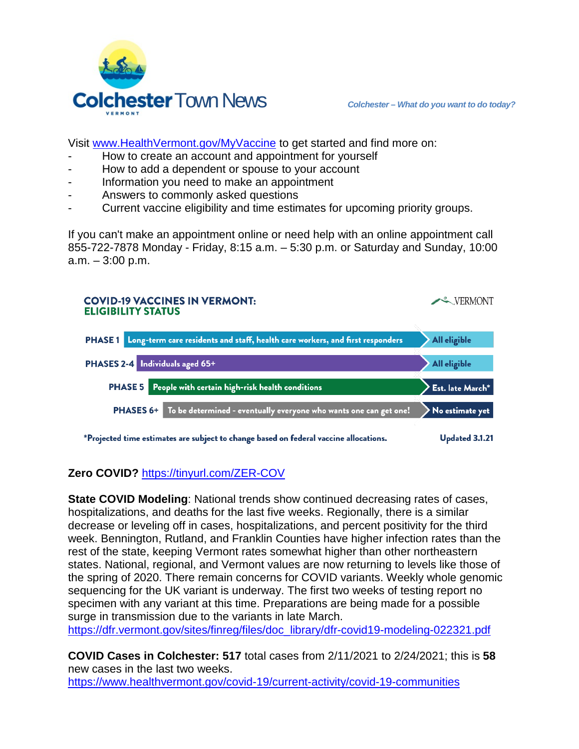

Visit [www.HealthVermont.gov/MyVaccine](http://www.healthvermont.gov/MyVaccine) to get started and find more on:

- How to create an account and appointment for yourself
- How to add a dependent or spouse to your account
- Information you need to make an appointment
- Answers to commonly asked questions
- Current vaccine eligibility and time estimates for upcoming priority groups.

If you can't make an appointment online or need help with an online appointment call 855-722-7878 Monday - Friday, 8:15 a.m. – 5:30 p.m. or Saturday and Sunday, 10:00 a.m. – 3:00 p.m.



**Zero COVID?** <https://tinyurl.com/ZER-COV>

**State COVID Modeling**: National trends show continued decreasing rates of cases, hospitalizations, and deaths for the last five weeks. Regionally, there is a similar decrease or leveling off in cases, hospitalizations, and percent positivity for the third week. Bennington, Rutland, and Franklin Counties have higher infection rates than the rest of the state, keeping Vermont rates somewhat higher than other northeastern states. National, regional, and Vermont values are now returning to levels like those of the spring of 2020. There remain concerns for COVID variants. Weekly whole genomic sequencing for the UK variant is underway. The first two weeks of testing report no specimen with any variant at this time. Preparations are being made for a possible surge in transmission due to the variants in late March.

[https://dfr.vermont.gov/sites/finreg/files/doc\\_library/dfr-covid19-modeling-022321.pdf](https://dfr.vermont.gov/sites/finreg/files/doc_library/dfr-covid19-modeling-022321.pdf)

**COVID Cases in Colchester: 517** total cases from 2/11/2021 to 2/24/2021; this is **58** new cases in the last two weeks.

<https://www.healthvermont.gov/covid-19/current-activity/covid-19-communities>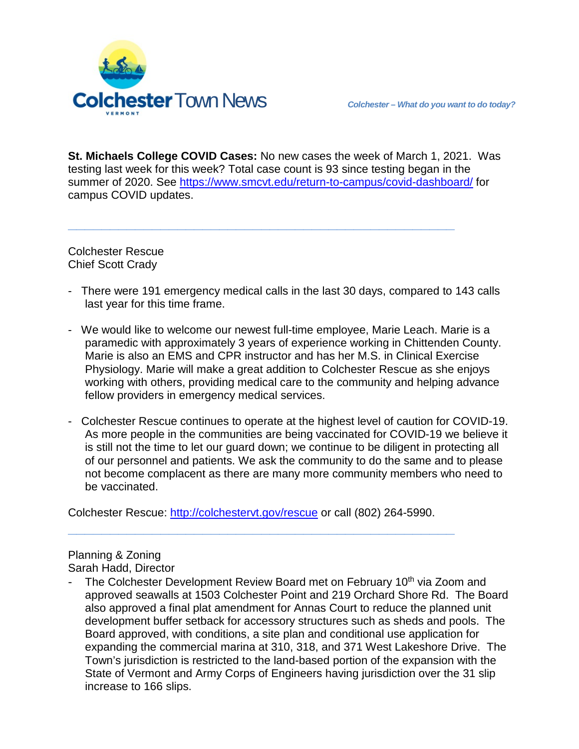

**St. Michaels College COVID Cases:** No new cases the week of March 1, 2021. Was testing last week for this week? Total case count is 93 since testing began in the summer of 2020. See<https://www.smcvt.edu/return-to-campus/covid-dashboard/> for campus COVID updates.

**\_\_\_\_\_\_\_\_\_\_\_\_\_\_\_\_\_\_\_\_\_\_\_\_\_\_\_\_\_\_\_\_\_\_\_\_\_\_\_\_\_\_\_\_\_\_**

Colchester Rescue Chief Scott Crady

- There were 191 emergency medical calls in the last 30 days, compared to 143 calls last year for this time frame.
- We would like to welcome our newest full-time employee, Marie Leach. Marie is a paramedic with approximately 3 years of experience working in Chittenden County. Marie is also an EMS and CPR instructor and has her M.S. in Clinical Exercise Physiology. Marie will make a great addition to Colchester Rescue as she enjoys working with others, providing medical care to the community and helping advance fellow providers in emergency medical services.
- Colchester Rescue continues to operate at the highest level of caution for COVID-19. As more people in the communities are being vaccinated for COVID-19 we believe it is still not the time to let our guard down; we continue to be diligent in protecting all of our personnel and patients. We ask the community to do the same and to please not become complacent as there are many more community members who need to be vaccinated.

Colchester Rescue: [http://colchestervt.gov/rescue](http://colchestervt.gov/rescue/index.shtml) or call (802) 264-5990.

**\_\_\_\_\_\_\_\_\_\_\_\_\_\_\_\_\_\_\_\_\_\_\_\_\_\_\_\_\_\_\_\_\_\_\_\_\_\_\_\_\_\_\_\_\_\_**

Planning & Zoning Sarah Hadd, Director

The Colchester Development Review Board met on February 10<sup>th</sup> via Zoom and approved seawalls at 1503 Colchester Point and 219 Orchard Shore Rd. The Board also approved a final plat amendment for Annas Court to reduce the planned unit development buffer setback for accessory structures such as sheds and pools. The Board approved, with conditions, a site plan and conditional use application for expanding the commercial marina at 310, 318, and 371 West Lakeshore Drive. The Town's jurisdiction is restricted to the land-based portion of the expansion with the State of Vermont and Army Corps of Engineers having jurisdiction over the 31 slip increase to 166 slips.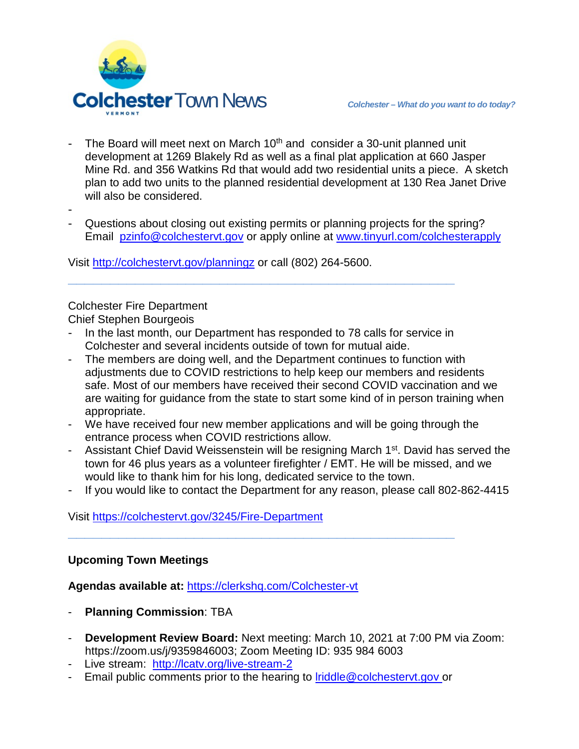

The Board will meet next on March 10<sup>th</sup> and consider a 30-unit planned unit development at 1269 Blakely Rd as well as a final plat application at 660 Jasper Mine Rd. and 356 Watkins Rd that would add two residential units a piece. A sketch plan to add two units to the planned residential development at 130 Rea Janet Drive will also be considered.

-

Questions about closing out existing permits or planning projects for the spring? Email [pzinfo@colchestervt.gov](mailto:pzinfo@colchestervt.gov) or apply online at [www.tinyurl.com/colchesterapply](http://www.tinyurl.com/colchesterapply)

Visit<http://colchestervt.gov/planningz> or call (802) 264-5600.

## Colchester Fire Department

Chief Stephen Bourgeois

In the last month, our Department has responded to 78 calls for service in Colchester and several incidents outside of town for mutual aide.

**\_\_\_\_\_\_\_\_\_\_\_\_\_\_\_\_\_\_\_\_\_\_\_\_\_\_\_\_\_\_\_\_\_\_\_\_\_\_\_\_\_\_\_\_\_\_**

- The members are doing well, and the Department continues to function with adjustments due to COVID restrictions to help keep our members and residents safe. Most of our members have received their second COVID vaccination and we are waiting for guidance from the state to start some kind of in person training when appropriate.
- We have received four new member applications and will be going through the entrance process when COVID restrictions allow.
- Assistant Chief David Weissenstein will be resigning March 1<sup>st</sup>. David has served the town for 46 plus years as a volunteer firefighter / EMT. He will be missed, and we would like to thank him for his long, dedicated service to the town.
- If you would like to contact the Department for any reason, please call 802-862-4415

## Visit<https://colchestervt.gov/3245/Fire-Department>

## **Upcoming Town Meetings**

**Agendas available at:** <https://clerkshq.com/Colchester-vt>

- **Planning Commission**: TBA
- **Development Review Board:** Next meeting: March 10, 2021 at 7:00 PM via Zoom: https://zoom.us/j/9359846003; Zoom Meeting ID: 935 984 6003
- Live stream: <http://lcatv.org/live-stream-2>
- Email public comments prior to the hearing to [lriddle@colchestervt.gov](mailto:lriddle@colchestervt.gov) or

**\_\_\_\_\_\_\_\_\_\_\_\_\_\_\_\_\_\_\_\_\_\_\_\_\_\_\_\_\_\_\_\_\_\_\_\_\_\_\_\_\_\_\_\_\_\_**